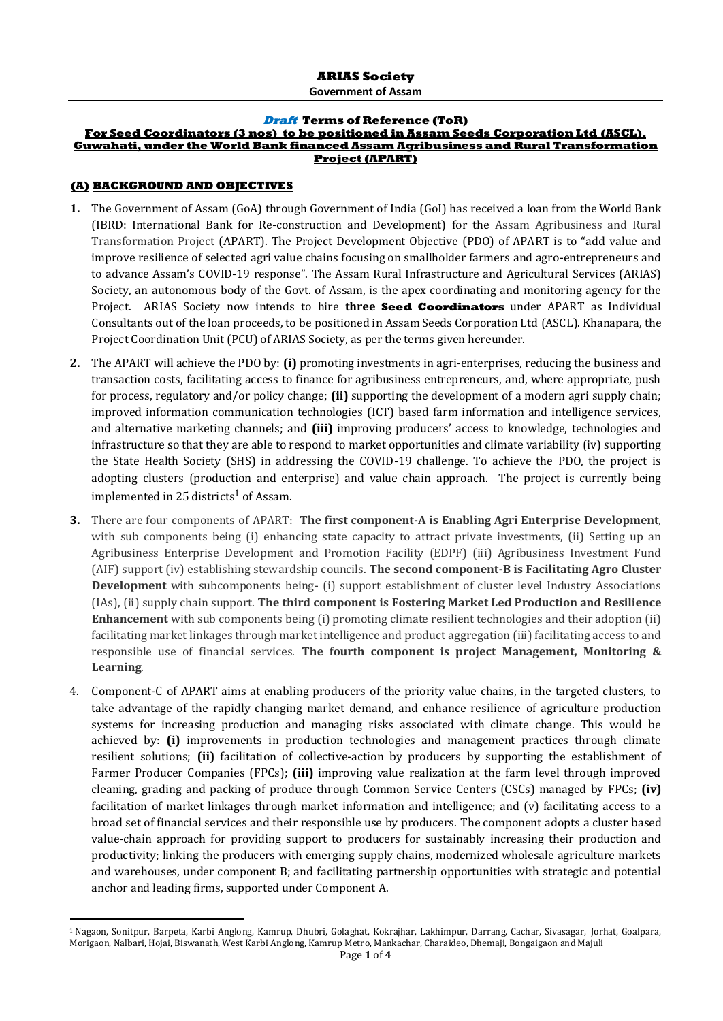#### **Draft Terms of Reference (ToR)**

## **For Seed Coordinators (3 nos) to be positioned in Assam Seeds Corporation Ltd (ASCL). Guwahati, under the World Bank financed Assam Agribusiness and Rural Transformation Project (APART)**

#### **(A) BACKGROUND AND OBJECTIVES**

 $\overline{a}$ 

- **1.** The Government of Assam (GoA) through Government of India (GoI) has received a loan from the World Bank (IBRD: International Bank for Re-construction and Development) for the Assam Agribusiness and Rural Transformation Project (APART). The Project Development Objective (PDO) of APART is to "add value and improve resilience of selected agri value chains focusing on smallholder farmers and agro-entrepreneurs and to advance Assam's COVID-19 response". The Assam Rural Infrastructure and Agricultural Services (ARIAS) Society, an autonomous body of the Govt. of Assam, is the apex coordinating and monitoring agency for the Project. ARIAS Society now intends to hire **three Seed Coordinators** under APART as Individual Consultants out of the loan proceeds, to be positioned in Assam Seeds Corporation Ltd (ASCL). Khanapara, the Project Coordination Unit (PCU) of ARIAS Society, as per the terms given hereunder.
- **2.** The APART will achieve the PDO by: **(i)** promoting investments in agri-enterprises, reducing the business and transaction costs, facilitating access to finance for agribusiness entrepreneurs, and, where appropriate, push for process, regulatory and/or policy change; **(ii)** supporting the development of a modern agri supply chain; improved information communication technologies (ICT) based farm information and intelligence services, and alternative marketing channels; and **(iii)** improving producers' access to knowledge, technologies and infrastructure so that they are able to respond to market opportunities and climate variability (iv) supporting the State Health Society (SHS) in addressing the COVID-19 challenge. To achieve the PDO, the project is adopting clusters (production and enterprise) and value chain approach. The project is currently being implemented in 25 districts<sup>1</sup> of Assam.
- **3.** There are four components of APART: **The first component-A is Enabling Agri Enterprise Development**, with sub components being (i) enhancing state capacity to attract private investments, (ii) Setting up an Agribusiness Enterprise Development and Promotion Facility (EDPF) (iii) Agribusiness Investment Fund (AIF) support (iv) establishing stewardship councils. **The second component-B is Facilitating Agro Cluster Development** with subcomponents being- (i) support establishment of cluster level Industry Associations (IAs), (ii) supply chain support. **The third component is Fostering Market Led Production and Resilience Enhancement** with sub components being (i) promoting climate resilient technologies and their adoption (ii) facilitating market linkages through market intelligence and product aggregation (iii) facilitating access to and responsible use of financial services. **The fourth component is project Management, Monitoring & Learning**.
- 4. Component-C of APART aims at enabling producers of the priority value chains, in the targeted clusters, to take advantage of the rapidly changing market demand, and enhance resilience of agriculture production systems for increasing production and managing risks associated with climate change. This would be achieved by: **(i)** improvements in production technologies and management practices through climate resilient solutions; **(ii)** facilitation of collective-action by producers by supporting the establishment of Farmer Producer Companies (FPCs); **(iii)** improving value realization at the farm level through improved cleaning, grading and packing of produce through Common Service Centers (CSCs) managed by FPCs; **(iv)** facilitation of market linkages through market information and intelligence; and (v) facilitating access to a broad set of financial services and their responsible use by producers. The component adopts a cluster based value-chain approach for providing support to producers for sustainably increasing their production and productivity; linking the producers with emerging supply chains, modernized wholesale agriculture markets and warehouses, under component B; and facilitating partnership opportunities with strategic and potential anchor and leading firms, supported under Component A.

<sup>1</sup> Nagaon, Sonitpur, Barpeta, Karbi Anglong, Kamrup, Dhubri, Golaghat, Kokrajhar, Lakhimpur, Darrang, Cachar, Sivasagar, Jorhat, Goalpara, Morigaon, Nalbari, Hojai, Biswanath, West Karbi Anglong, Kamrup Metro, Mankachar, Charaideo, Dhemaji, Bongaigaon and Majuli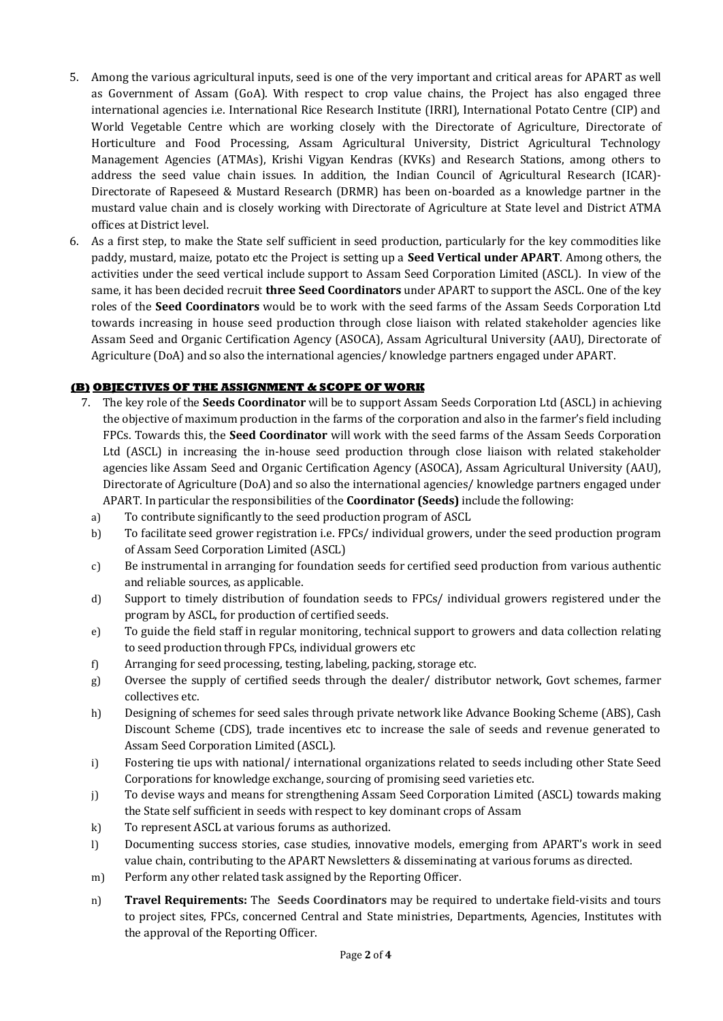- 5. Among the various agricultural inputs, seed is one of the very important and critical areas for APART as well as Government of Assam (GoA). With respect to crop value chains, the Project has also engaged three international agencies i.e. International Rice Research Institute (IRRI), International Potato Centre (CIP) and World Vegetable Centre which are working closely with the Directorate of Agriculture, Directorate of Horticulture and Food Processing, Assam Agricultural University, District Agricultural Technology Management Agencies (ATMAs), Krishi Vigyan Kendras (KVKs) and Research Stations, among others to address the seed value chain issues. In addition, the Indian Council of Agricultural Research (ICAR)- Directorate of Rapeseed & Mustard Research (DRMR) has been on-boarded as a knowledge partner in the mustard value chain and is closely working with Directorate of Agriculture at State level and District ATMA offices at District level.
- 6. As a first step, to make the State self sufficient in seed production, particularly for the key commodities like paddy, mustard, maize, potato etc the Project is setting up a **Seed Vertical under APART**. Among others, the activities under the seed vertical include support to Assam Seed Corporation Limited (ASCL). In view of the same, it has been decided recruit **three Seed Coordinators** under APART to support the ASCL. One of the key roles of the **Seed Coordinators** would be to work with the seed farms of the Assam Seeds Corporation Ltd towards increasing in house seed production through close liaison with related stakeholder agencies like Assam Seed and Organic Certification Agency (ASOCA), Assam Agricultural University (AAU), Directorate of Agriculture (DoA) and so also the international agencies/ knowledge partners engaged under APART.

## **(B) OBJECTIVES OF THE ASSIGNMENT & SCOPE OF WORK**

- 7. The key role of the **Seeds Coordinator** will be to support Assam Seeds Corporation Ltd (ASCL) in achieving the objective of maximum production in the farms of the corporation and also in the farmer's field including FPCs. Towards this, the **Seed Coordinator** will work with the seed farms of the Assam Seeds Corporation Ltd (ASCL) in increasing the in-house seed production through close liaison with related stakeholder agencies like Assam Seed and Organic Certification Agency (ASOCA), Assam Agricultural University (AAU), Directorate of Agriculture (DoA) and so also the international agencies/ knowledge partners engaged under APART. In particular the responsibilities of the **Coordinator (Seeds)** include the following:
	- a) To contribute significantly to the seed production program of ASCL
	- b) To facilitate seed grower registration i.e. FPCs/ individual growers, under the seed production program of Assam Seed Corporation Limited (ASCL)
	- c) Be instrumental in arranging for foundation seeds for certified seed production from various authentic and reliable sources, as applicable.
	- d) Support to timely distribution of foundation seeds to FPCs/ individual growers registered under the program by ASCL, for production of certified seeds.
	- e) To guide the field staff in regular monitoring, technical support to growers and data collection relating to seed production through FPCs, individual growers etc
	- f) Arranging for seed processing, testing, labeling, packing, storage etc.
	- g) Oversee the supply of certified seeds through the dealer/ distributor network, Govt schemes, farmer collectives etc.
	- h) Designing of schemes for seed sales through private network like Advance Booking Scheme (ABS), Cash Discount Scheme (CDS), trade incentives etc to increase the sale of seeds and revenue generated to Assam Seed Corporation Limited (ASCL).
	- i) Fostering tie ups with national/ international organizations related to seeds including other State Seed Corporations for knowledge exchange, sourcing of promising seed varieties etc.
	- j) To devise ways and means for strengthening Assam Seed Corporation Limited (ASCL) towards making the State self sufficient in seeds with respect to key dominant crops of Assam
	- k) To represent ASCL at various forums as authorized.
	- l) Documenting success stories, case studies, innovative models, emerging from APART's work in seed value chain, contributing to the APART Newsletters & disseminating at various forums as directed.
	- m) Perform any other related task assigned by the Reporting Officer.
	- n) **Travel Requirements:** The **Seeds Coordinators** may be required to undertake field-visits and tours to project sites, FPCs, concerned Central and State ministries, Departments, Agencies, Institutes with the approval of the Reporting Officer.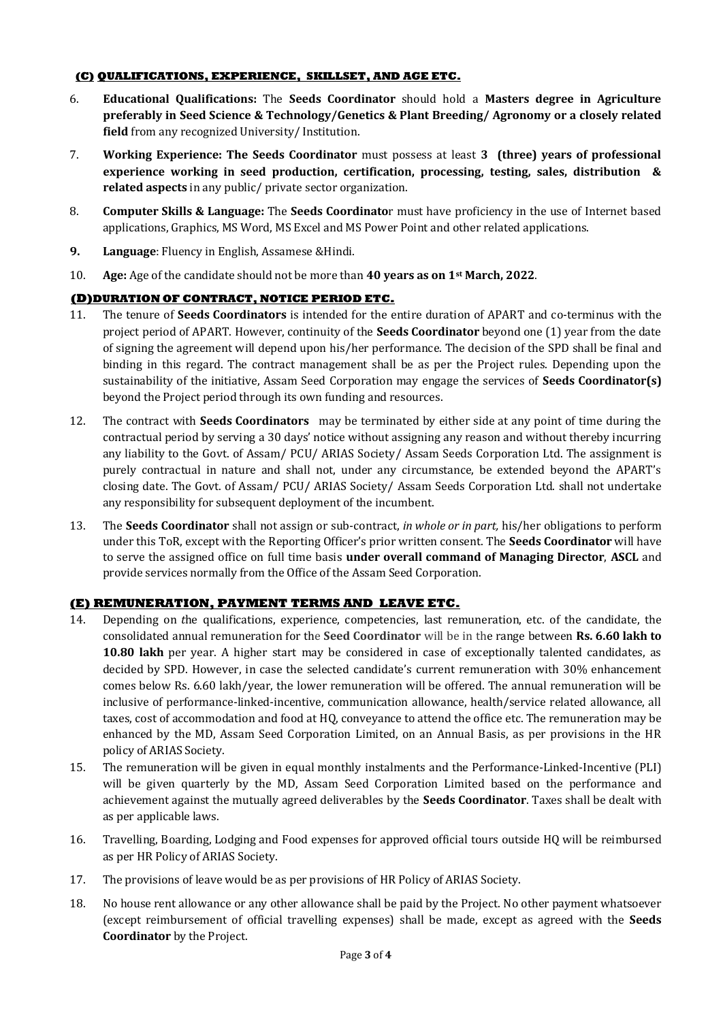## **(C) QUALIFICATIONS, EXPERIENCE, SKILLSET, AND AGE ETC.**

- 6. **Educational Qualifications:** The **Seeds Coordinator** should hold a **Masters degree in Agriculture preferably in Seed Science & Technology/Genetics & Plant Breeding/ Agronomy or a closely related field** from any recognized University/ Institution.
- 7. **Working Experience: The Seeds Coordinator** must possess at least **3 (three) years of professional experience working in seed production, certification, processing, testing, sales, distribution & related aspects** in any public/ private sector organization.
- 8. **Computer Skills & Language:** The **Seeds Coordinato**r must have proficiency in the use of Internet based applications, Graphics, MS Word, MS Excel and MS Power Point and other related applications.
- **9. Language**: Fluency in English, Assamese &Hindi.
- 10. **Age:** Age of the candidate should not be more than **40 years as on 1st March, 2022**.

# **(D)DURATION OF CONTRACT, NOTICE PERIOD ETC.**

- 11. The tenure of **Seeds Coordinators** is intended for the entire duration of APART and co-terminus with the project period of APART. However, continuity of the **Seeds Coordinator** beyond one (1) year from the date of signing the agreement will depend upon his/her performance. The decision of the SPD shall be final and binding in this regard. The contract management shall be as per the Project rules. Depending upon the sustainability of the initiative, Assam Seed Corporation may engage the services of **Seeds Coordinator(s)** beyond the Project period through its own funding and resources.
- 12. The contract with **Seeds Coordinators** may be terminated by either side at any point of time during the contractual period by serving a 30 days' notice without assigning any reason and without thereby incurring any liability to the Govt. of Assam/ PCU/ ARIAS Society/ Assam Seeds Corporation Ltd. The assignment is purely contractual in nature and shall not, under any circumstance, be extended beyond the APART's closing date. The Govt. of Assam/ PCU/ ARIAS Society/ Assam Seeds Corporation Ltd. shall not undertake any responsibility for subsequent deployment of the incumbent.
- 13. The **Seeds Coordinator** shall not assign or sub-contract, *in whole or in part,* his/her obligations to perform under this ToR, except with the Reporting Officer's prior written consent. The **Seeds Coordinator** will have to serve the assigned office on full time basis **under overall command of Managing Director**, **ASCL** and provide services normally from the Office of the Assam Seed Corporation.

## **(E) REMUNERATION, PAYMENT TERMS AND LEAVE ETC.**

- 14. Depending on *t*he qualifications, experience, competencies, last remuneration, etc. of the candidate, the consolidated annual remuneration for the **Seed Coordinator** will be in the range between **Rs. 6.60 lakh to 10.80 lakh** per year. A higher start may be considered in case of exceptionally talented candidates, as decided by SPD. However, in case the selected candidate's current remuneration with 30% enhancement comes below Rs. 6.60 lakh/year, the lower remuneration will be offered. The annual remuneration will be inclusive of performance-linked-incentive, communication allowance, health/service related allowance, all taxes, cost of accommodation and food at HQ, conveyance to attend the office etc. The remuneration may be enhanced by the MD, Assam Seed Corporation Limited, on an Annual Basis, as per provisions in the HR policy of ARIAS Society.
- 15. The remuneration will be given in equal monthly instalments and the Performance-Linked-Incentive (PLI) will be given quarterly by the MD, Assam Seed Corporation Limited based on the performance and achievement against the mutually agreed deliverables by the **Seeds Coordinator**. Taxes shall be dealt with as per applicable laws.
- 16. Travelling, Boarding, Lodging and Food expenses for approved official tours outside HQ will be reimbursed as per HR Policy of ARIAS Society.
- 17. The provisions of leave would be as per provisions of HR Policy of ARIAS Society.
- 18. No house rent allowance or any other allowance shall be paid by the Project. No other payment whatsoever (except reimbursement of official travelling expenses) shall be made, except as agreed with the **Seeds Coordinator** by the Project.